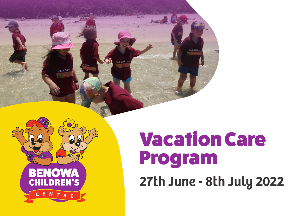



# Vacation Care Program

**27th June - 8th July 2022**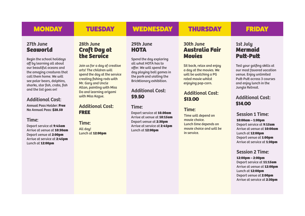# MONDAY TUESDAY WEDNESDAY THURSDAY FRIDAY

# **27th June Seaworld**

Begin the school holidays off by learning all about our beautiful oceans and the amazing creatures that call them home. We will see polar bears, dolphins, sharks, star fish, crabs, fish and the list goes on!

# **Additional Cost:**

**Annual Pass Holder: Free No Annual Pass: \$28.50**

# **Time:**

Depart service at **9:45am** Arrive at venue at **10:30am** Depart venue at **2:00pm** Arrive at service at **2:45pm**  Lunch at **12:00pm**

# **28th June Craft Day at the Service**

Join us for a day of creative arts! The children will spend the day at the service creating fishing rods with Mr. Gary and Uncle Allan, painting with Miss Da and learning origami with Miss Kazue.

# **Additional Cost:** FREE

**Time:**  All day! Lunch at **12:00pm**

# **29th June HOTA**

Spend the day exploring all what HOTA has to offer. We will spend the day playing ball games in the park and visiting the Bricktionary exhibition.

# **Additional Cost:** \$9.50

## **Time:**

Depart service at **10.00am** Arrive at venue at **10:15am** Depart venue at **2:30pm** Arrive at service at **2:45pm**  Lunch at **12:00pm**

# **30th June Australia Fair Movies**

Sit back, relax and enjoy a day at the movies. We will be watching a PG rated movie whilst enjoying pop-corn.

# **Additional Cost:**

## **Time:**

Time will depend on movie choice. Lunch time depends on movie choice and will be in service.

# **1st July Mermaid Putt-Putt**

Test your golfing skills at our most favored vacation venue. Enjoy unlimited Putt-Putt across 3 courses and enjoy lunch in the Jungle Retreat.

# \$13.00 **Additional Cost:** \$14.00

# **Session 1 Time:**

**10:00am – 1:00pm**

Depart service at **9:15am** Arrive at venue at **10:00am** Lunch at **12:00pm** Depart venue at **1:00pm** Arrive at service at **1:30pm**

# **Session 2 Time:**

**12:00pm – 2:00pm** Depart service at **11:15am** Arrive at venue at **12:00pm** Lunch at **12:00pm** Depart venue at **2:00pm** Arrive at service at **2:30pm**